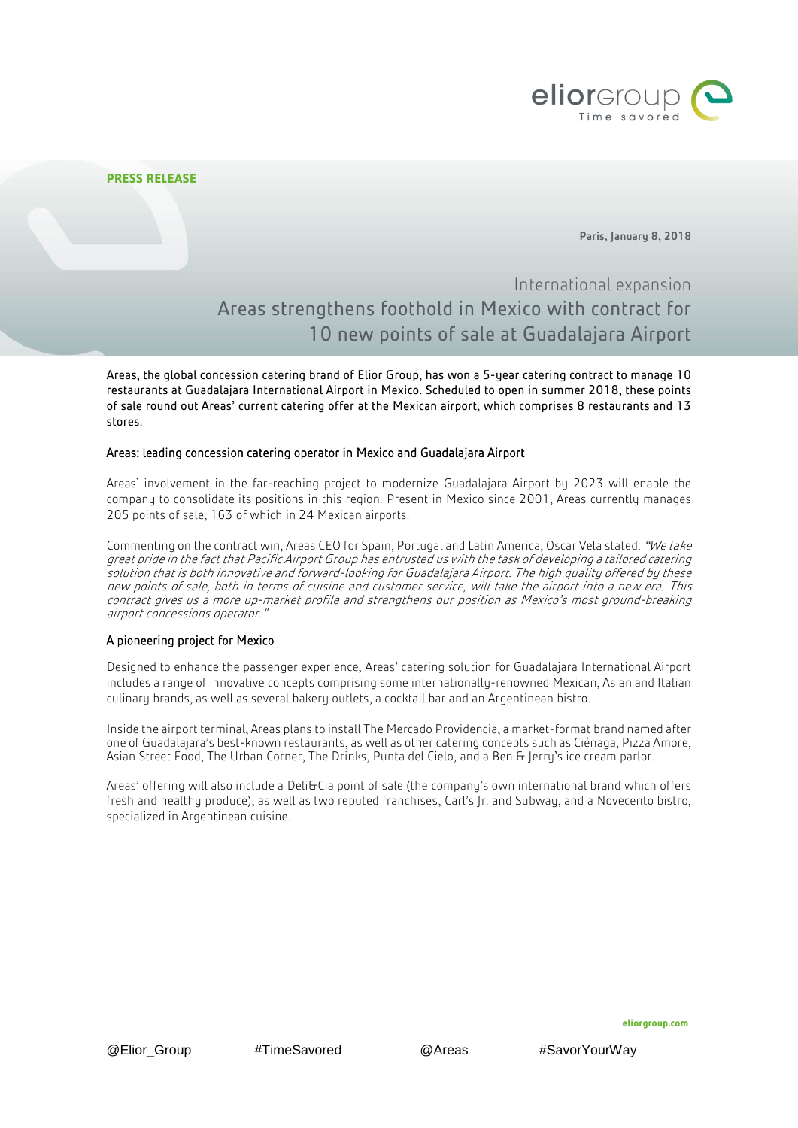

Paris, January 8, 2018

# International expansion Areas strengthens foothold in Mexico with contract for 10 new points of sale at Guadalajara Airport

Areas, the global concession catering brand of Elior Group, has won a 5-year catering contract to manage 10 restaurants at Guadalajara International Airport in Mexico. Scheduled to open in summer 2018, these points of sale round out Areas' current catering offer at the Mexican airport, which comprises 8 restaurants and 13 stores.

## Areas: leading concession catering operator in Mexico and Guadalajara Airport

Areas' involvement in the far-reaching project to modernize Guadalajara Airport by 2023 will enable the company to consolidate its positions in this region. Present in Mexico since 2001, Areas currently manages 205 points of sale, 163 of which in 24 Mexican airports.

Commenting on the contract win, Areas CEO for Spain, Portugal and Latin America, Oscar Vela stated: "We take great pride in the fact that Pacific Airport Group has entrusted us with the task of developing a tailored catering solution that is both innovative and forward-looking for Guadalajara Airport. The high quality offered by these new points of sale, both in terms of cuisine and customer service, will take the airport into a new era. This contract gives us a more up-market profile and strengthens our position as Mexico's most ground-breaking airport concessions operator."

# A pioneering project for Mexico

Designed to enhance the passenger experience, Areas' catering solution for Guadalajara International Airport includes a range of innovative concepts comprising some internationally-renowned Mexican, Asian and Italian culinary brands, as well as several bakery outlets, a cocktail bar and an Argentinean bistro.

Inside the airport terminal, Areas plans to install The Mercado Providencia, a market-format brand named after one of Guadalajara's best-known restaurants, as well as other catering concepts such as Ciénaga, Pizza Amore, Asian Street Food, The Urban Corner, The Drinks, Punta del Cielo, and a Ben & Jerry's ice cream parlor.

Areas' offering will also include a Deli&Cia point of sale (the company's own international brand which offers fresh and healthy produce), as well as two reputed franchises, Carl's Jr. and Subway, and a Novecento bistro, specialized in Argentinean cuisine.

**eliorgroup.com**